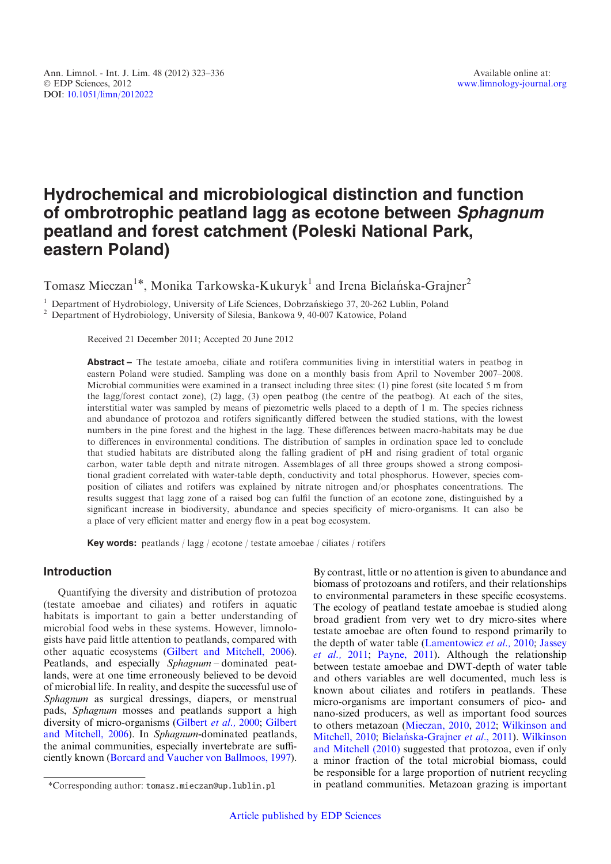# Hydrochemical and microbiological distinction and function of ombrotrophic peatland lagg as ecotone between Sphagnum peatland and forest catchment (Poleski National Park, eastern Poland)

Tomasz Mieczan<sup>1\*</sup>, Monika Tarkowska-Kukuryk<sup>1</sup> and Irena Bielańska-Grajner<sup>2</sup>

<sup>1</sup> Department of Hydrobiology, University of Life Sciences, Dobrzańskiego 37, 20-262 Lublin, Poland <sup>2</sup> Department of Hydrobiology, University of Silesia, Bankowa 9, 40-007 Katowice, Poland

Received 21 December 2011; Accepted 20 June 2012

Abstract – The testate amoeba, ciliate and rotifera communities living in interstitial waters in peatbog in eastern Poland were studied. Sampling was done on a monthly basis from April to November 2007–2008. Microbial communities were examined in a transect including three sites: (1) pine forest (site located 5 m from the lagg/forest contact zone), (2) lagg, (3) open peatbog (the centre of the peatbog). At each of the sites, interstitial water was sampled by means of piezometric wells placed to a depth of 1 m. The species richness and abundance of protozoa and rotifers significantly differed between the studied stations, with the lowest numbers in the pine forest and the highest in the lagg. These differences between macro-habitats may be due to differences in environmental conditions. The distribution of samples in ordination space led to conclude that studied habitats are distributed along the falling gradient of pH and rising gradient of total organic carbon, water table depth and nitrate nitrogen. Assemblages of all three groups showed a strong compositional gradient correlated with water-table depth, conductivity and total phosphorus. However, species composition of ciliates and rotifers was explained by nitrate nitrogen and/or phosphates concentrations. The results suggest that lagg zone of a raised bog can fulfil the function of an ecotone zone, distinguished by a significant increase in biodiversity, abundance and species specificity of micro-organisms. It can also be a place of very efficient matter and energy flow in a peat bog ecosystem.

Key words: peatlands / lagg / ecotone / testate amoebae / ciliates / rotifers

# Introduction

Quantifying the diversity and distribution of protozoa (testate amoebae and ciliates) and rotifers in aquatic habitats is important to gain a better understanding of microbial food webs in these systems. However, limnologists have paid little attention to peatlands, compared with other aquatic ecosystems ([Gilbert and Mitchell, 2006](#page-12-0)). Peatlands, and especially Sphagnum – dominated peatlands, were at one time erroneously believed to be devoid of microbial life. In reality, and despite the successful use of Sphagnum as surgical dressings, diapers, or menstrual pads, Sphagnum mosses and peatlands support a high diversity of micro-organisms [\(Gilbert](#page-12-0) et al., 2000; [Gilbert](#page-12-0) [and Mitchell, 2006\)](#page-12-0). In Sphagnum-dominated peatlands, the animal communities, especially invertebrate are sufficiently known ([Borcard and Vaucher von Ballmoos, 1997](#page-12-0)).

By contrast, little or no attention is given to abundance and biomass of protozoans and rotifers, and their relationships to environmental parameters in these specific ecosystems. The ecology of peatland testate amoebae is studied along broad gradient from very wet to dry micro-sites where testate amoebae are often found to respond primarily to the depth of water table ([Lamentowicz](#page-13-0) et al., 2010; [Jassey](#page-13-0) [et al.,](#page-13-0) 2011; [Payne, 2011](#page-13-0)). Although the relationship between testate amoebae and DWT-depth of water table and others variables are well documented, much less is known about ciliates and rotifers in peatlands. These micro-organisms are important consumers of pico- and nano-sized producers, as well as important food sources to others metazoan ([Mieczan, 2010,](#page-13-0) [2012](#page-13-0); [Wilkinson and](#page-13-0) [Mitchell, 2010](#page-13-0); Bielańska-Grajner et al., 2011). [Wilkinson](#page-13-0) [and Mitchell \(2010\)](#page-13-0) suggested that protozoa, even if only a minor fraction of the total microbial biomass, could be responsible for a large proportion of nutrient recycling \*Corresponding author: tomasz.mieczan@up.lublin.pl in peatland communities. Metazoan grazing is important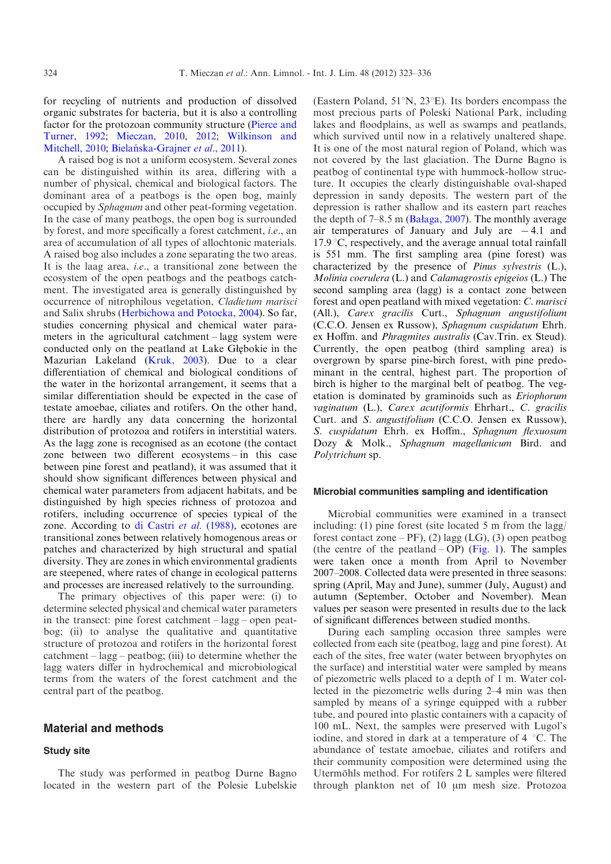for recycling of nutrients and production of dissolved organic substrates for bacteria, but it is also a controlling factor for the protozoan community structure [\(Pierce and](#page-13-0) [Turner, 1992](#page-13-0); [Mieczan, 2010,](#page-13-0) [2012](#page-13-0); [Wilkinson and](#page-13-0) [Mitchell, 2010;](#page-13-0) Bielańska-Grajner et al., 2011).

A raised bog is not a uniform ecosystem. Several zones can be distinguished within its area, differing with a number of physical, chemical and biological factors. The dominant area of a peatbogs is the open bog, mainly occupied by Sphagnum and other peat-forming vegetation. In the case of many peatbogs, the open bog is surrounded by forest, and more specifically a forest catchment, i.e., an area of accumulation of all types of allochtonic materials. A raised bog also includes a zone separating the two areas. It is the laag area, i.e., a transitional zone between the ecosystem of the open peatbogs and the peatbogs catchment. The investigated area is generally distinguished by occurrence of nitrophilous vegetation, Cladietum marisci and Salix shrubs [\(Herbichowa and Potocka, 2004\)](#page-13-0). So far, studies concerning physical and chemical water parameters in the agricultural catchment – lagg system were conducted only on the peatland at Lake Głębokie in the Mazurian Lakeland ([Kruk, 2003\)](#page-13-0). Due to a clear differentiation of chemical and biological conditions of the water in the horizontal arrangement, it seems that a similar differentiation should be expected in the case of testate amoebae, ciliates and rotifers. On the other hand, there are hardly any data concerning the horizontal distribution of protozoa and rotifers in interstitial waters. As the lagg zone is recognised as an ecotone (the contact zone between two different ecosystems – in this case between pine forest and peatland), it was assumed that it should show significant differences between physical and chemical water parameters from adjacent habitats, and be distinguished by high species richness of protozoa and rotifers, including occurrence of species typical of the zone. According to [di Castri](#page-12-0) et al. (1988), ecotones are transitional zones between relatively homogenous areas or patches and characterized by high structural and spatial diversity. They are zones in which environmental gradients are steepened, where rates of change in ecological patterns and processes are increased relatively to the surrounding.

The primary objectives of this paper were: (i) to determine selected physical and chemical water parameters in the transect: pine forest catchment – lagg – open peatbog; (ii) to analyse the qualitative and quantitative structure of protozoa and rotifers in the horizontal forest catchment – lagg – peatbog; (iii) to determine whether the lagg waters differ in hydrochemical and microbiological terms from the waters of the forest catchment and the central part of the peatbog.

## Material and methods

## Study site

The study was performed in peatbog Durne Bagno located in the western part of the Polesie Lubelskie

(Eastern Poland,  $51^{\circ}N$ ,  $23^{\circ}E$ ). Its borders encompass the most precious parts of Poleski National Park, including lakes and floodplains, as well as swamps and peatlands, which survived until now in a relatively unaltered shape. It is one of the most natural region of Poland, which was not covered by the last glaciation. The Durne Bagno is peatbog of continental type with hummock-hollow structure. It occupies the clearly distinguishable oval-shaped depression in sandy deposits. The western part of the depression is rather shallow and its eastern part reaches the depth of 7–8.5 m ([Ba](#page-12-0)ł[aga, 2007](#page-12-0)). The monthly average air temperatures of January and July are  $-4.1$  and  $17.9 \degree C$ , respectively, and the average annual total rainfall is 551 mm. The first sampling area (pine forest) was characterized by the presence of Pinus sylvestris (L.), Molinia coerulera (L.) and Calamagrostis epigeios (L.) The second sampling area (lagg) is a contact zone between forest and open peatland with mixed vegetation: C. marisci (All.), Carex gracilis Curt., Sphagnum angustifolium (C.C.O. Jensen ex Russow), Sphagnum cuspidatum Ehrh. ex Hoffm. and *Phragmites australis* (Cav.Trin. ex Steud). Currently, the open peatbog (third sampling area) is overgrown by sparse pine-birch forest, with pine predominant in the central, highest part. The proportion of birch is higher to the marginal belt of peatbog. The vegetation is dominated by graminoids such as Eriophorum vaginatum (L.), Carex acutiformis Ehrhart., C. gracilis Curt. and S. angustifolium (C.C.O. Jensen ex Russow), S. cuspidatum Ehrh. ex Hoffm., Sphagnum flexuosum Dozy & Molk., Sphagnum magellanicum Bird. and Polytrichum sp.

#### Microbial communities sampling and identification

Microbial communities were examined in a transect including: (1) pine forest (site located 5 m from the lagg/ forest contact zone –  $PF$ ), (2) lagg (LG), (3) open peatbog (the centre of the peatland – OP) ([Fig. 1](#page-2-0)). The samples were taken once a month from April to November 2007–2008. Collected data were presented in three seasons: spring (April, May and June), summer (July, August) and autumn (September, October and November). Mean values per season were presented in results due to the lack of significant differences between studied months.

During each sampling occasion three samples were collected from each site (peatbog, lagg and pine forest). At each of the sites, free water (water between bryophytes on the surface) and interstitial water were sampled by means of piezometric wells placed to a depth of 1 m. Water collected in the piezometric wells during 2–4 min was then sampled by means of a syringe equipped with a rubber tube, and poured into plastic containers with a capacity of 100 mL. Next, the samples were preserved with Lugol's iodine, and stored in dark at a temperature of  $4 \degree C$ . The abundance of testate amoebae, ciliates and rotifers and their community composition were determined using the Utermöhls method. For rotifers 2 L samples were filtered through plankton net of 10 µm mesh size. Protozoa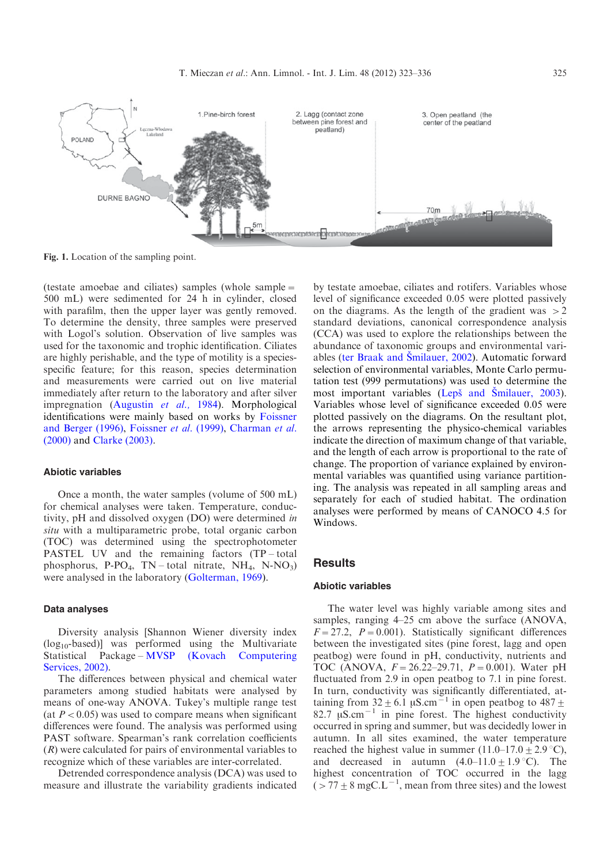<span id="page-2-0"></span>

Fig. 1. Location of the sampling point.

(testate amoebae and ciliates) samples (whole sample= 500 mL) were sedimented for 24 h in cylinder, closed with parafilm, then the upper layer was gently removed. To determine the density, three samples were preserved with Logol's solution. Observation of live samples was used for the taxonomic and trophic identification. Ciliates are highly perishable, and the type of motility is a speciesspecific feature; for this reason, species determination and measurements were carried out on live material immediately after return to the laboratory and after silver impregnation [\(Augustin](#page-12-0) et al., 1984). Morphological identifications were mainly based on works by [Foissner](#page-12-0) [and Berger \(1996\),](#page-12-0) [Foissner](#page-12-0) et al. (1999), [Charman](#page-12-0) et al. [\(2000\)](#page-12-0) and [Clarke \(2003\)](#page-12-0).

## Abiotic variables

Once a month, the water samples (volume of 500 mL) for chemical analyses were taken. Temperature, conductivity, pH and dissolved oxygen (DO) were determined in situ with a multiparametric probe, total organic carbon (TOC) was determined using the spectrophotometer PASTEL UV and the remaining factors (TP – total phosphorus, P-PO<sub>4</sub>, TN – total nitrate, NH<sub>4</sub>, N-NO<sub>3</sub>) were analysed in the laboratory ([Golterman, 1969\)](#page-12-0).

#### Data analyses

Diversity analysis [Shannon Wiener diversity index  $(log_{10}$ -based)] was performed using the Multivariate Statistical Package – [MVSP \(Kovach Computering](#page-13-0) [Services, 2002\).](#page-13-0)

The differences between physical and chemical water parameters among studied habitats were analysed by means of one-way ANOVA. Tukey's multiple range test (at  $P < 0.05$ ) was used to compare means when significant differences were found. The analysis was performed using PAST software. Spearman's rank correlation coefficients (R) were calculated for pairs of environmental variables to recognize which of these variables are inter-correlated.

Detrended correspondence analysis (DCA) was used to measure and illustrate the variability gradients indicated by testate amoebae, ciliates and rotifers. Variables whose level of significance exceeded 0.05 were plotted passively on the diagrams. As the length of the gradient was  $>2$ standard deviations, canonical correspondence analysis (CCA) was used to explore the relationships between the abundance of taxonomic groups and environmental variables (ter Braak and Šmilauer, 2002). Automatic forward selection of environmental variables, Monte Carlo permutation test (999 permutations) was used to determine the most important variables (Lepš and Smilauer, 2003). Variables whose level of significance exceeded 0.05 were plotted passively on the diagrams. On the resultant plot, the arrows representing the physico-chemical variables indicate the direction of maximum change of that variable, and the length of each arrow is proportional to the rate of change. The proportion of variance explained by environmental variables was quantified using variance partitioning. The analysis was repeated in all sampling areas and separately for each of studied habitat. The ordination analyses were performed by means of CANOCO 4.5 for Windows.

## **Results**

## Abiotic variables

The water level was highly variable among sites and samples, ranging 4–25 cm above the surface (ANOVA,  $F=27.2$ ,  $P=0.001$ ). Statistically significant differences between the investigated sites (pine forest, lagg and open peatbog) were found in pH, conductivity, nutrients and TOC (ANOVA,  $F = 26.22 - 29.71$ ,  $P = 0.001$ ). Water pH fluctuated from 2.9 in open peatbog to 7.1 in pine forest. In turn, conductivity was significantly differentiated, attaining from  $32 \pm 6.1 \,\mu$ S.cm<sup>-1</sup> in open peatbog to  $487 \pm$ 82.7  $\mu$ S.cm<sup>-1</sup> in pine forest. The highest conductivity occurred in spring and summer, but was decidedly lower in autumn. In all sites examined, the water temperature reached the highest value in summer  $(11.0-17.0 \pm 2.9 \degree C)$ , and decreased in autumn  $(4.0-11.0 \pm 1.9 \degree C)$ . The highest concentration of TOC occurred in the lagg  $($  > 77  $\pm$  8 mgC.L<sup>-1</sup>, mean from three sites) and the lowest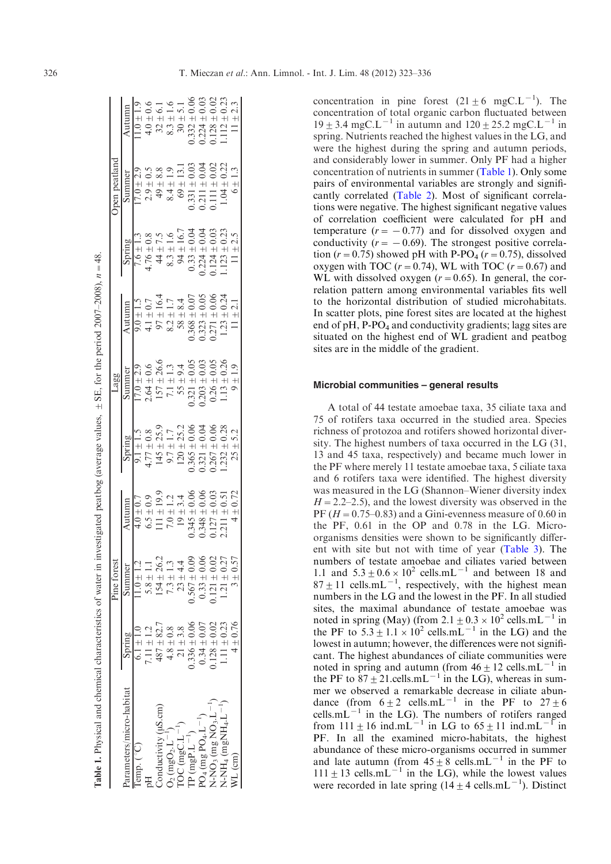|                                                                                            |                        | Pine forest      |                                                                                                                                                                                                 |                                                                                                                                                | Lagg                                                                                                                                                                                |                                                                                                                                                                                 |                                                                                    | pen peatland                                                                                                                        |                                                                                                                                                                                                                     |
|--------------------------------------------------------------------------------------------|------------------------|------------------|-------------------------------------------------------------------------------------------------------------------------------------------------------------------------------------------------|------------------------------------------------------------------------------------------------------------------------------------------------|-------------------------------------------------------------------------------------------------------------------------------------------------------------------------------------|---------------------------------------------------------------------------------------------------------------------------------------------------------------------------------|------------------------------------------------------------------------------------|-------------------------------------------------------------------------------------------------------------------------------------|---------------------------------------------------------------------------------------------------------------------------------------------------------------------------------------------------------------------|
| rameters/micro-habitat                                                                     | Spring                 |                  |                                                                                                                                                                                                 |                                                                                                                                                |                                                                                                                                                                                     |                                                                                                                                                                                 | Spring                                                                             |                                                                                                                                     |                                                                                                                                                                                                                     |
| $mp.$ ( $°$ C)                                                                             | $6.1 + 1.0$            | $1.0 \pm 1.2$    | $4.0 \pm 0.7$                                                                                                                                                                                   |                                                                                                                                                | $17.0 \pm 2.9$                                                                                                                                                                      |                                                                                                                                                                                 | 7.6 $\pm$ 1.3                                                                      | $17.0 \pm 2.9$                                                                                                                      | $1.0 \pm 1.9$                                                                                                                                                                                                       |
|                                                                                            | $.11\pm1.2$            | $5.8 \pm 1.1$    |                                                                                                                                                                                                 |                                                                                                                                                |                                                                                                                                                                                     |                                                                                                                                                                                 | $4.76 \pm 0.8$                                                                     | $2.9\pm0.5$                                                                                                                         |                                                                                                                                                                                                                     |
| onductivity (uS.cm)                                                                        | $487 + 82.7$           | $154 \pm 26.2$   |                                                                                                                                                                                                 |                                                                                                                                                |                                                                                                                                                                                     |                                                                                                                                                                                 |                                                                                    |                                                                                                                                     |                                                                                                                                                                                                                     |
| $_{2}$ (mgO <sub>2</sub> .L <sup>-1</sup> )                                                |                        | $7.3 \pm 1.3$    |                                                                                                                                                                                                 |                                                                                                                                                |                                                                                                                                                                                     |                                                                                                                                                                                 |                                                                                    | $49 \pm 8.8$<br>$8.4 \pm 1.9$                                                                                                       |                                                                                                                                                                                                                     |
| $DC (mgC.L^{-1})$                                                                          | $4.8\pm0.8$ $21\pm3.8$ | $23 \pm 4.4$     |                                                                                                                                                                                                 |                                                                                                                                                |                                                                                                                                                                                     |                                                                                                                                                                                 |                                                                                    |                                                                                                                                     |                                                                                                                                                                                                                     |
| $\mathbf{P}\left(\text{mgP.L}^{-1}\right)$                                                 | $0.336 \pm 0.06$       | $0.567\pm0.09$   | $\begin{array}{c} 6.5 \pm 0.9 \\ 111 \pm 19.9 \\ 7.0 \pm 1.2 \\ 7.0 \pm 1.2 \\ 19 \pm 3.4 \\ 19 \pm 3.4 \\ 0.345 \pm 0.06 \\ 0.345 \pm 0.06 \\ 0.127 \pm 0.03 \\ 0.127 \pm 0.03 \\ \end{array}$ | $4.77 \pm 0.8$<br>$145 \pm 25.9$<br>$9.7 \pm 1.7$<br>$9.7 \pm 1.7$<br>$120 \pm 25.2$<br>$120 \pm 25.2$<br>$0.365 \pm 0.06$<br>$0.321 \pm 0.04$ | $\begin{array}{c} 2.64 \pm 0.6 \\ 157 \pm 26.6 \\ 7.1 \pm 1.3 \\ 55 \pm 9.4 \\ 0.321 \pm 0.05 \\ 0.203 \pm 0.03 \\ 0.203 \pm 0.03 \\ 0.26 \pm 0.05 \\ 1.13 \pm 0.05 \\ \end{array}$ | $4.1 \pm 0.7$<br>$97 \pm 16.4$<br>$97 \pm 1.7$<br>$8.2 \pm 1.7$<br>$8.3 \pm 8.4$<br>$8.4 \pm 0.07$<br>$58 \pm 0.07$<br>$0.368 \pm 0.05$<br>$0.323 \pm 0.06$<br>$0.271 \pm 0.06$ | $44 \pm 7.5$<br>$8.3 \pm 1.6$<br>$94 \pm 16.7$<br>$94 \pm 16.7$<br>$0.33 \pm 0.04$ | $\begin{array}{c} 69 \pm 13.1 \\ 0.331 \pm 0.03 \\ 0.211 \pm 0.04 \\ 0.111 \pm 0.02 \\ 0.111 \pm 0.02 \\ 1.04 \pm 0.22 \end{array}$ | $\begin{array}{c} 4.0 \pm 0.6 \\ 32 \pm 6.1 \\ 8.3 \pm 1.6 \\ 9.3 \pm 1.6 \\ 9.3 \pm 1.1 \\ 1.1 \pm 5.1 \\ 0.03324 \pm 0.02 \\ 0.128 \pm 0.02 \\ 0.128 \pm 0.02 \\ 1.112 \pm 0.23 \\ 1.112 \pm 0.33 \\ \end{array}$ |
| $O_4$ (mg $PO_4$ . $L^{-1}$ )                                                              | $0.34 \pm 0.07$        | $0.33 \pm 0.06$  |                                                                                                                                                                                                 |                                                                                                                                                |                                                                                                                                                                                     |                                                                                                                                                                                 | $0.224 \pm 0.04$                                                                   |                                                                                                                                     |                                                                                                                                                                                                                     |
|                                                                                            | .128 $\pm$ 0.02        | $0.121 \pm 0.02$ |                                                                                                                                                                                                 | $\begin{array}{c} 0.267 \pm 0.06 \\ 1.232 \pm 0.28 \end{array}$                                                                                |                                                                                                                                                                                     |                                                                                                                                                                                 | $0.124 \pm 0.03$                                                                   |                                                                                                                                     |                                                                                                                                                                                                                     |
| \-NO3 (mg NO3.L <sup>-1</sup> )<br>\-NH <sub>4</sub> (mgNH <sub>4</sub> .L <sup>-1</sup> ) | $1.11 \pm 0.23$        | $1.21 \pm 0.27$  |                                                                                                                                                                                                 |                                                                                                                                                |                                                                                                                                                                                     | $1.23 -$                                                                                                                                                                        | $.123 \pm 0.23$                                                                    |                                                                                                                                     |                                                                                                                                                                                                                     |
| $7L$ (cm)                                                                                  | $4 \pm 0.76$           | $3 \pm 0.57$     | $4 \pm 0.72$                                                                                                                                                                                    | $25 \pm 5.2$                                                                                                                                   | $9 \pm 1.9$                                                                                                                                                                         | $11 \pm 2.1$                                                                                                                                                                    | $11 \pm 2.5$                                                                       | $6\pm1.3$                                                                                                                           |                                                                                                                                                                                                                     |

**Table 1.** Physical and chemical characteristics of water in investigated peatbog (average values,  $+$  SE, for the period 2007–2008),  $n = 48$ Physical and chemical characteristics of water in investigated peatbog (average values,  $\pm$  SE, for the period 2007–2008),  $n = 48$ .

concentration in pine forest  $(21 \pm 6 \text{ mgC.L}^{-1})$ . The concentration of total organic carbon fluctuated between  $19 \pm 3.4$  mgC.L<sup>-1</sup> in autumn and  $120 \pm 25.2$  mgC.L<sup>-1</sup> in spring. Nutrients reached the highest values in the LG, and were the highest during the spring and autumn periods, and considerably lower in summer. Only PF had a higher concentration of nutrients in summer (Table 1). Only some pairs of environmental variables are strongly and significantly correlated [\(Table 2\)](#page-4-0). Most of significant correlations were negative. The highest significant negative values of correlation coefficient were calculated for pH and temperature  $(r = -0.77)$  and for dissolved oxygen and conductivity ( $r = -0.69$ ). The strongest positive correlation ( $r=0.75$ ) showed pH with P-PO<sub>4</sub> ( $r=0.75$ ), dissolved oxygen with TOC  $(r=0.74)$ , WL with TOC  $(r=0.67)$  and WL with dissolved oxygen  $(r=0.65)$ . In general, the correlation pattern among environmental variables fits well to the horizontal distribution of studied microhabitats. In scatter plots, pine forest sites are located at the highest end of pH, P-PO<sub>4</sub> and conductivity gradients; lagg sites are situated on the highest end of WL gradient and peatbog sites are in the middle of the gradient.

#### Microbial communities – general results

A total of 44 testate amoebae taxa, 35 ciliate taxa and 75 of rotifers taxa occurred in the studied area. Species richness of protozoa and rotifers showed horizontal diversity. The highest numbers of taxa occurred in the LG (31, 13 and 45 taxa, respectively) and became much lower in the PF where merely 11 testate amoebae taxa, 5 ciliate taxa and 6 rotifers taxa were identified. The highest diversity was measured in the LG (Shannon–Wiener diversity index  $H = 2.2-2.5$ , and the lowest diversity was observed in the PF ( $H = 0.75$ –0.83) and a Gini-evenness measure of 0.60 in the PF, 0.61 in the OP and 0.78 in the LG. Microorganisms densities were shown to be significantly different with site but not with time of year [\(Table 3](#page-4-0)). The numbers of testate amoebae and ciliates varied between 1.1 and  $5.3 + 0.6 \times 10^2$  cells.mL<sup>-1</sup> and between 18 and  $87 \pm 11$  cells.mL<sup>-1</sup>, respectively, with the highest mean numbers in the LG and the lowest in the PF. In all studied sites, the maximal abundance of testate amoebae was noted in spring (May) (from  $2.1 \pm 0.3 \times 10^2$  cells.mL<sup>-1</sup> in the PF to  $5.3 \pm 1.1 \times 10^2$  cells.mL<sup>-1</sup> in the LG) and the lowest in autumn; however, the differences were not significant. The highest abundances of ciliate communities were noted in spring and autumn (from  $46 \pm 12$  cells.mL<sup>-1</sup> in the PF to  $87 + 21$  cells.mL<sup>-1</sup> in the LG), whereas in summer we observed a remarkable decrease in ciliate abundance (from  $6 \pm 2$  cells.mL<sup>-1</sup> in the PF to  $27 \pm 6$ cells.m $L^{-1}$  in the LG). The numbers of rotifers ranged from  $111 \pm 16$  ind.mL<sup>-1</sup> in LG to  $65 \pm 11$  ind.mL<sup>-1</sup> in PF. In all the examined micro-habitats, the highest abundance of these micro-organisms occurred in summer and late autumn (from  $45 \pm 8$  cells.mL<sup>-1</sup> in the PF to  $111 \pm 13$  cells.mL<sup>-1</sup> in the LG), while the lowest values were recorded in late spring  $(14 \pm 4 \text{ cells.mL}^{-1})$ . Distinct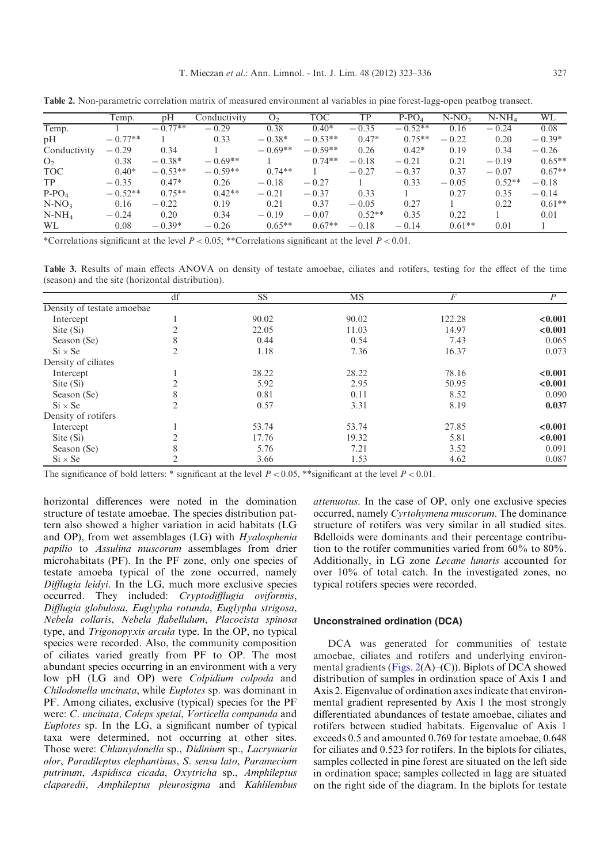|                |           |           |              |                | <b>TOC</b> |          |           |          |          |          |
|----------------|-----------|-----------|--------------|----------------|------------|----------|-----------|----------|----------|----------|
|                | Temp.     | pH        | Conductivity | O <sub>2</sub> |            | TP       | $P-PO4$   | $N-NO3$  | $N-NH_4$ | WL       |
| Temp.          |           | $-0.77**$ | $-0.29$      | 0.38           | $0.40*$    | $-0.35$  | $-0.52**$ | 0.16     | $-0.24$  | 0.08     |
| pH             | $-0.77**$ |           | 0.33         | $-0.38*$       | $-0.53**$  | $0.47*$  | $0.75**$  | $-0.22$  | 0.20     | $-0.39*$ |
| Conductivity   | $-0.29$   | 0.34      |              | $-0.69**$      | $-0.59**$  | 0.26     | $0.42*$   | 0.19     | 0.34     | $-0.26$  |
| O <sub>2</sub> | 0.38      | $-0.38*$  | $-0.69**$    |                | $0.74**$   | $-0.18$  | $-0.21$   | 0.21     | $-0.19$  | $0.65**$ |
| <b>TOC</b>     | $0.40*$   | $-0.53**$ | $-0.59**$    | $0.74**$       |            | $-0.27$  | $-0.37$   | 0.37     | $-0.07$  | $0.67**$ |
| <b>TP</b>      | $-0.35$   | $0.47*$   | 0.26         | $-0.18$        | $-0.27$    |          | 0.33      | $-0.05$  | $0.52**$ | $-0.18$  |
| $P-PO4$        | $-0.52**$ | $0.75**$  | $0.42**$     | $-0.21$        | $-0.37$    | 0.33     |           | 0.27     | 0.35     | $-0.14$  |
| $N-NO3$        | 0.16      | $-0.22$   | 0.19         | 0.21           | 0.37       | $-0.05$  | 0.27      |          | 0.22     | $0.61**$ |
| $N-NH_4$       | $-0.24$   | 0.20      | 0.34         | $-0.19$        | $-0.07$    | $0.52**$ | 0.35      | 0.22     |          | 0.01     |
| <b>WL</b>      | 0.08      | $-0.39*$  | $-0.26$      | $0.65**$       | $0.67**$   | $-0.18$  | $-0.14$   | $0.61**$ | 0.01     |          |

<span id="page-4-0"></span>Table 2. Non-parametric correlation matrix of measured environment al variables in pine forest-lagg-open peatbog transect.

\*Correlations significant at the level  $P < 0.05$ ; \*\*Correlations significant at the level  $P < 0.01$ .

Table 3. Results of main effects ANOVA on density of testate amoebae, ciliates and rotifers, testing for the effect of the time (season) and the site (horizontal distribution).

|                            | df | <b>SS</b> | MS    | F      | P       |
|----------------------------|----|-----------|-------|--------|---------|
| Density of testate amoebae |    |           |       |        |         |
| Intercept                  |    | 90.02     | 90.02 | 122.28 | < 0.001 |
| Site (Si)                  |    | 22.05     | 11.03 | 14.97  | < 0.001 |
| Season (Se)                | 8  | 0.44      | 0.54  | 7.43   | 0.065   |
| $Si \times Se$             |    | 1.18      | 7.36  | 16.37  | 0.073   |
| Density of ciliates        |    |           |       |        |         |
| Intercept                  |    | 28.22     | 28.22 | 78.16  | < 0.001 |
| Site (Si)                  |    | 5.92      | 2.95  | 50.95  | < 0.001 |
| Season (Se)                | 8  | 0.81      | 0.11  | 8.52   | 0.090   |
| $Si \times Se$             |    | 0.57      | 3.31  | 8.19   | 0.037   |
| Density of rotifers        |    |           |       |        |         |
| Intercept                  |    | 53.74     | 53.74 | 27.85  | < 0.001 |
| Site (Si)                  |    | 17.76     | 19.32 | 5.81   | < 0.001 |
| Season (Se)                | 8  | 5.76      | 7.21  | 3.52   | 0.091   |
| $Si \times Se$             |    | 3.66      | 1.53  | 4.62   | 0.087   |

The significance of bold letters: \* significant at the level  $P < 0.05$ , \*\*significant at the level  $P < 0.01$ .

horizontal differences were noted in the domination structure of testate amoebae. The species distribution pattern also showed a higher variation in acid habitats (LG and OP), from wet assemblages (LG) with Hyalosphenia papilio to Assulina muscorum assemblages from drier microhabitats (PF). In the PF zone, only one species of testate amoeba typical of the zone occurred, namely Difflugia leidyi. In the LG, much more exclusive species occurred. They included: Cryptodifflugia oviformis, Difflugia globulosa, Euglypha rotunda, Euglypha strigosa, Nebela collaris, Nebela flabellulum, Placocista spinosa type, and Trigonopyxis arcula type. In the OP, no typical species were recorded. Also, the community composition of ciliates varied greatly from PF to OP. The most abundant species occurring in an environment with a very low pH (LG and OP) were Colpidium colpoda and Chilodonella uncinata, while Euplotes sp. was dominant in PF. Among ciliates, exclusive (typical) species for the PF were: C. uncinata, Coleps spetai, Vorticella companula and Euplotes sp. In the LG, a significant number of typical taxa were determined, not occurring at other sites. Those were: Chlamydonella sp., Didinium sp., Lacrymaria olor, Paradileptus elephantinus, S. sensu lato, Paramecium putrinum, Aspidisca cicada, Oxytricha sp., Amphileptus claparedii, Amphileptus pleurosigma and Kahlilembus

attenuotus. In the case of OP, only one exclusive species occurred, namely Cyrtohymena muscorum. The dominance structure of rotifers was very similar in all studied sites. Bdelloids were dominants and their percentage contribution to the rotifer communities varied from 60% to 80%. Additionally, in LG zone Lecane lunaris accounted for over 10% of total catch. In the investigated zones, no typical rotifers species were recorded.

#### Unconstrained ordination (DCA)

DCA was generated for communities of testate amoebae, ciliates and rotifers and underlying environmental gradients [\(Figs. 2](#page-5-0)(A)–(C)). Biplots of DCA showed distribution of samples in ordination space of Axis 1 and Axis 2. Eigenvalue of ordination axes indicate that environmental gradient represented by Axis 1 the most strongly differentiated abundances of testate amoebae, ciliates and rotifers between studied habitats. Eigenvalue of Axis 1 exceeds 0.5 and amounted 0.769 for testate amoebae, 0.648 for ciliates and 0.523 for rotifers. In the biplots for ciliates, samples collected in pine forest are situated on the left side in ordination space; samples collected in lagg are situated on the right side of the diagram. In the biplots for testate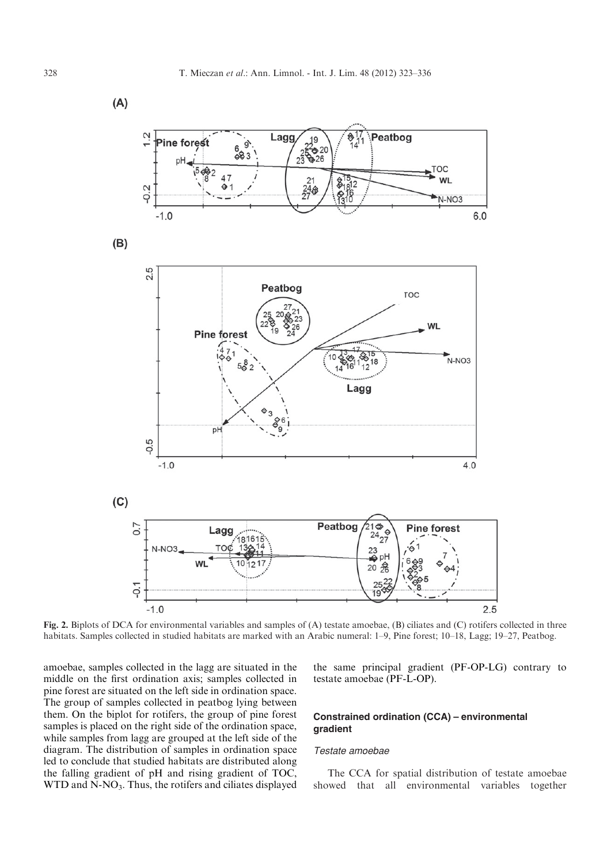<span id="page-5-0"></span> $(A)$ 



Fig. 2. Biplots of DCA for environmental variables and samples of (A) testate amoebae, (B) ciliates and (C) rotifers collected in three habitats. Samples collected in studied habitats are marked with an Arabic numeral: 1–9, Pine forest; 10–18, Lagg; 19–27, Peatbog.

amoebae, samples collected in the lagg are situated in the middle on the first ordination axis; samples collected in pine forest are situated on the left side in ordination space. The group of samples collected in peatbog lying between them. On the biplot for rotifers, the group of pine forest samples is placed on the right side of the ordination space, while samples from lagg are grouped at the left side of the diagram. The distribution of samples in ordination space led to conclude that studied habitats are distributed along the falling gradient of pH and rising gradient of TOC,  $WTD$  and  $N-NO<sub>3</sub>$ . Thus, the rotifers and ciliates displayed

the same principal gradient (PF-OP-LG) contrary to testate amoebae (PF-L-OP).

# Constrained ordination (CCA) – environmental gradient

## Testate amoebae

The CCA for spatial distribution of testate amoebae showed that all environmental variables together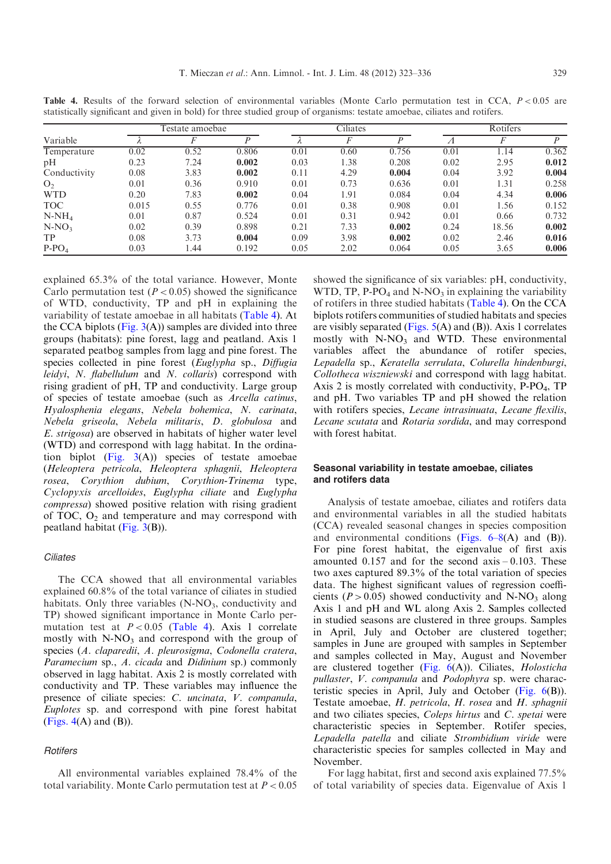|                |       | Testate amoebae |       |      | Ciliates |       | Rotifers |       |       |
|----------------|-------|-----------------|-------|------|----------|-------|----------|-------|-------|
| Variable       |       |                 |       |      |          |       | 71       |       | D     |
| Temperature    | 0.02  | 0.52            | 0.806 | 0.01 | 0.60     | 0.756 | 0.01     | 1.14  | 0.362 |
| pH             | 0.23  | 7.24            | 0.002 | 0.03 | 1.38     | 0.208 | 0.02     | 2.95  | 0.012 |
| Conductivity   | 0.08  | 3.83            | 0.002 | 0.11 | 4.29     | 0.004 | 0.04     | 3.92  | 0.004 |
| O <sub>2</sub> | 0.01  | 0.36            | 0.910 | 0.01 | 0.73     | 0.636 | 0.01     | 1.31  | 0.258 |
| <b>WTD</b>     | 0.20  | 7.83            | 0.002 | 0.04 | 1.91     | 0.084 | 0.04     | 4.34  | 0.006 |
| <b>TOC</b>     | 0.015 | 0.55            | 0.776 | 0.01 | 0.38     | 0.908 | 0.01     | 1.56  | 0.152 |
| $N-NH_4$       | 0.01  | 0.87            | 0.524 | 0.01 | 0.31     | 0.942 | 0.01     | 0.66  | 0.732 |
| $N-NO3$        | 0.02  | 0.39            | 0.898 | 0.21 | 7.33     | 0.002 | 0.24     | 18.56 | 0.002 |
| <b>TP</b>      | 0.08  | 3.73            | 0.004 | 0.09 | 3.98     | 0.002 | 0.02     | 2.46  | 0.016 |
| $P-PO4$        | 0.03  | .44             | 0.192 | 0.05 | 2.02     | 0.064 | 0.05     | 3.65  | 0.006 |

Table 4. Results of the forward selection of environmental variables (Monte Carlo permutation test in CCA,  $P < 0.05$  are statistically significant and given in bold) for three studied group of organisms: testate amoebae, ciliates and rotifers.

explained 65.3% of the total variance. However, Monte Carlo permutation test ( $P < 0.05$ ) showed the significance of WTD, conductivity, TP and pH in explaining the variability of testate amoebae in all habitats (Table 4). At the CCA biplots (Fig.  $3(A)$ ) samples are divided into three groups (habitats): pine forest, lagg and peatland. Axis 1 separated peatbog samples from lagg and pine forest. The species collected in pine forest (Euglypha sp., Diffugia leidyi, N. flabellulum and N. collaris) correspond with rising gradient of pH, TP and conductivity. Large group of species of testate amoebae (such as Arcella catinus, Hyalosphenia elegans, Nebela bohemica, N. carinata, Nebela griseola, Nebela militaris, D. globulosa and E. strigosa) are observed in habitats of higher water level (WTD) and correspond with lagg habitat. In the ordination biplot  $(Fig. 3(A))$  $(Fig. 3(A))$  species of testate amoebae (Heleoptera petricola, Heleoptera sphagnii, Heleoptera rosea, Corythion dubium, Corythion-Trinema type, Cyclopyxis arcelloides, Euglypha ciliate and Euglypha compressa) showed positive relation with rising gradient of TOC,  $O_2$  and temperature and may correspond with peatland habitat [\(Fig. 3](#page-7-0)(B)).

## **Ciliates**

The CCA showed that all environmental variables explained 60.8% of the total variance of ciliates in studied habitats. Only three variables  $(N-NO<sub>3</sub>,$  conductivity and TP) showed significant importance in Monte Carlo permutation test at  $P < 0.05$  (Table 4). Axis 1 correlate mostly with  $N-NO_3$  and correspond with the group of species (A. claparedii, A. pleurosigma, Codonella cratera, Paramecium sp., A. cicada and Didinium sp.) commonly observed in lagg habitat. Axis 2 is mostly correlated with conductivity and TP. These variables may influence the presence of ciliate species: C. uncinata, V. companula, Euplotes sp. and correspond with pine forest habitat (Figs.  $4(A)$  and  $(B)$ ).

## **Rotifers**

All environmental variables explained 78.4% of the total variability. Monte Carlo permutation test at  $P < 0.05$  showed the significance of six variables: pH, conductivity, WTD, TP,  $P\text{-}PO_4$  and  $N\text{-}NO_3$  in explaining the variability of rotifers in three studied habitats (Table 4). On the CCA biplots rotifers communities of studied habitats and species are visibly separated (Figs.  $5(A)$  and (B)). Axis 1 correlates mostly with  $N-NO<sub>3</sub>$  and WTD. These environmental variables affect the abundance of rotifer species, Lepadella sp., Keratella serrulata, Colurella hindenburgi, Collotheca wiszniewski and correspond with lagg habitat. Axis 2 is mostly correlated with conductivity,  $P-PO<sub>4</sub>$ , TP and pH. Two variables TP and pH showed the relation with rotifers species, Lecane intrasinuata, Lecane flexilis, Lecane scutata and Rotaria sordida, and may correspond with forest habitat.

# Seasonal variability in testate amoebae, ciliates and rotifers data

Analysis of testate amoebae, ciliates and rotifers data and environmental variables in all the studied habitats (CCA) revealed seasonal changes in species composition and environmental conditions (Figs.  $6-8(A)$  and (B)). For pine forest habitat, the eigenvalue of first axis amounted  $0.157$  and for the second  $axis -0.103$ . These two axes captured 89.3% of the total variation of species data. The highest significant values of regression coefficients ( $P > 0.05$ ) showed conductivity and N-NO<sub>3</sub> along Axis 1 and pH and WL along Axis 2. Samples collected in studied seasons are clustered in three groups. Samples in April, July and October are clustered together; samples in June are grouped with samples in September and samples collected in May, August and November are clustered together  $(Fig. 6(A))$  $(Fig. 6(A))$ . Ciliates, *Holosticha* pullaster, V. companula and Podophyra sp. were characteristic species in April, July and October (Fig.  $6(B)$ ). Testate amoebae, H. petricola, H. rosea and H. sphagnii and two ciliates species, Coleps hirtus and C. spetai were characteristic species in September. Rotifer species, Lepadella patella and ciliate Strombidium viride were characteristic species for samples collected in May and November.

For lagg habitat, first and second axis explained 77.5% of total variability of species data. Eigenvalue of Axis 1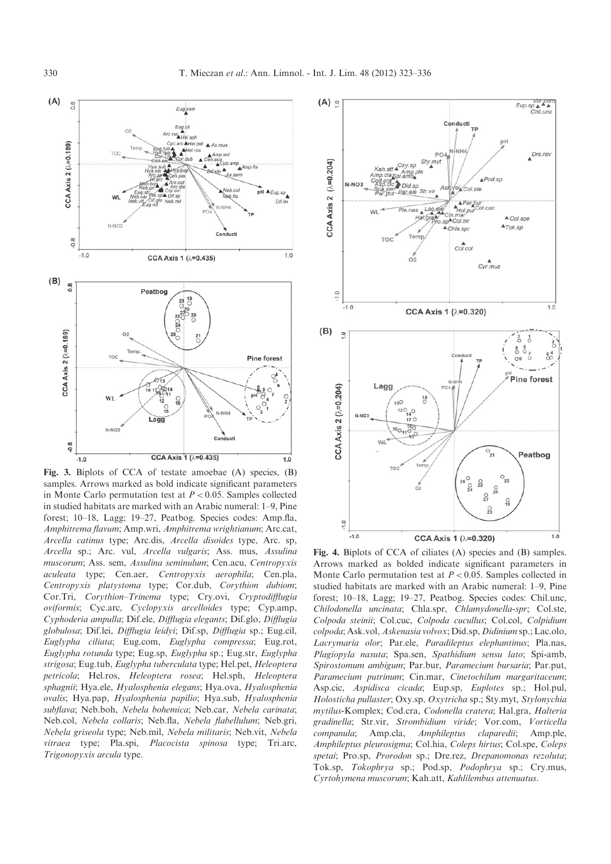<span id="page-7-0"></span>

Fig. 3. Biplots of CCA of testate amoebae (A) species, (B) samples. Arrows marked as bold indicate significant parameters in Monte Carlo permutation test at  $P < 0.05$ . Samples collected in studied habitats are marked with an Arabic numeral: 1–9, Pine forest; 10–18, Lagg; 19–27, Peatbog. Species codes: Amp.fla, Amphitrema flavum; Amp.wri, Amphitrema wrightianum; Arc.cat, Arcella catinus type; Arc.dis, Arcella disoides type, Arc. sp, Arcella sp.; Arc. vul, Arcella vulgaris; Ass. mus, Assulina muscorum; Ass. sem, Assulina seminulum; Cen.acu, Centropyxis aculeata type; Cen.aer, Centropyxis aerophila; Cen.pla, Centropyxis platystoma type; Cor.dub, Corythion dubiom; Cor.Tri, Corythion–Trinema type; Cry.ovi, Cryptodifflugia oviformis; Cyc.arc, Cyclopyxis arcelloides type; Cyp.amp, Cyphoderia ampulla; Dif.ele, Difflugia elegants; Dif.glo, Difflugia globulosa; Dif.lei, Difflugia leidyi; Dif.sp, Difflugia sp.; Eug.cil, Euglypha ciliata; Eug.com, Euglypha compressa; Eug.rot, Euglypha rotunda type; Eug.sp, Euglypha sp.; Eug.str, Euglypha strigosa; Eug.tub, Euglypha tuberculata type; Hel.pet, Heleoptera petricola; Hel.ros, Heleoptera rosea; Hel.sph, Heleoptera sphagnii; Hya.ele, Hyalosphenia elegans; Hya.ova, Hyalosphenia ovalis; Hya.pap, Hyalosphenia papilio; Hya.sub, Hyalosphenia subflava; Neb.boh, Nebela bohemica; Neb.car, Nebela carinata; Neb.col, Nebela collaris; Neb.fla, Nebela flabellulum; Neb.gri, Nebela griseola type; Neb.mil, Nebela militaris; Neb.vit, Nebela vitraea type; Pla.spi, Placocista spinosa type; Tri.arc, Trigonopyxis arcula type.



Fig. 4. Biplots of CCA of ciliates (A) species and (B) samples. Arrows marked as bolded indicate significant parameters in Monte Carlo permutation test at  $P < 0.05$ . Samples collected in studied habitats are marked with an Arabic numeral: 1–9, Pine forest; 10–18, Lagg; 19–27, Peatbog. Species codes: Chil.unc, Chilodonella uncinata; Chla.spr, Chlamydonella-spr; Col.ste, Colpoda steinii; Col.cuc, Colpoda cucullus; Col.col, Colpidium colpoda; Ask.vol, Askenasia volvox; Did.sp, Didinium sp.; Lac.olo, Lacrymaria olor; Par.ele, Paradileptus elephantinus; Pla.nas, Plagiopyla nasuta; Spa.sen, Spathidium sensu lato; Spi-amb, Spirostomum ambigum; Par.bur, Paramecium bursaria; Par.put, Paramecium putrinum; Cin.mar, Cinetochilum margaritaceum; Asp.cic, Aspidisca cicada; Eup.sp, Euplotes sp.; Hol.pul, Holosticha pullaster; Oxy.sp, Oxytricha sp.; Sty.myt, Stylonychia mytilus-Komplex; Cod.cra, Codonella cratera; Hal.gra, Halteria gradinella; Str.vir, Strombidium viride; Vor.com, Vorticella companula; Amp.cla, Amphileptus claparedii; Amp.ple, Amphileptus pleurosigma; Col.hia, Coleps hirtus; Col.spe, Coleps spetai; Pro.sp, Prorodon sp.; Dre.rez, Drepanomonas rezoluta; Tok.sp, Tokophrya sp.; Pod.sp, Podophrya sp.; Cry.mus, Cyrtohymena muscorum; Kah.att, Kahlilembus attenuatus.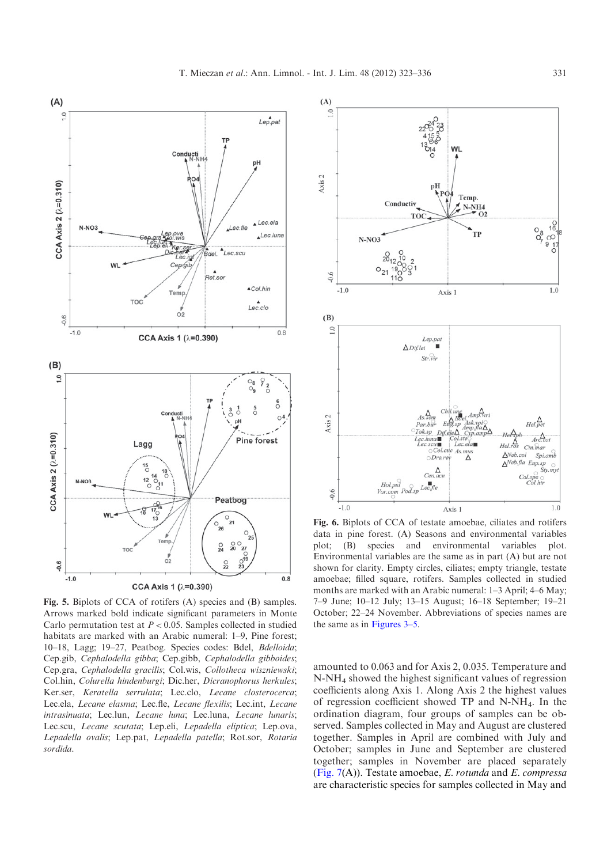<span id="page-8-0"></span>

Fig. 5. Biplots of CCA of rotifers (A) species and (B) samples. Arrows marked bold indicate significant parameters in Monte Carlo permutation test at  $P < 0.05$ . Samples collected in studied habitats are marked with an Arabic numeral: 1–9, Pine forest; 10–18, Lagg; 19–27, Peatbog. Species codes: Bdel, Bdelloida; Cep.gib, Cephalodella gibba; Cep.gibb, Cephalodella gibboides; Cep.gra, Cephalodella gracilis; Col.wis, Collotheca wiszniewski; Col.hin, Colurella hindenburgi; Dic.her, Dicranophorus herkules; Ker.ser, Keratella serrulata; Lec.clo, Lecane closterocerca; Lec.ela, Lecane elasma; Lec.fle, Lecane flexilis; Lec.int, Lecane intrasinuata; Lec.lun, Lecane luna; Lec.luna, Lecane lunaris; Lec.scu, Lecane scutata; Lep.eli, Lepadella eliptica; Lep.ova, Lepadella ovalis; Lep.pat, Lepadella patella; Rot.sor, Rotaria sordida.



Fig. 6. Biplots of CCA of testate amoebae, ciliates and rotifers data in pine forest. (A) Seasons and environmental variables plot; (B) species and environmental variables plot. Environmental variables are the same as in part (A) but are not shown for clarity. Empty circles, ciliates; empty triangle, testate amoebae; filled square, rotifers. Samples collected in studied months are marked with an Arabic numeral: 1–3 April; 4–6 May; 7–9 June; 10–12 July; 13–15 August; 16–18 September; 19–21 October; 22–24 November. Abbreviations of species names are the same as in Figures 3–5.

amounted to 0.063 and for Axis 2, 0.035. Temperature and N-NH4 showed the highest significant values of regression coefficients along Axis 1. Along Axis 2 the highest values of regression coefficient showed TP and N-NH4. In the ordination diagram, four groups of samples can be observed. Samples collected in May and August are clustered together. Samples in April are combined with July and October; samples in June and September are clustered together; samples in November are placed separately (Fig.  $7(A)$ ). Testate amoebae, E. rotunda and E. compressa are characteristic species for samples collected in May and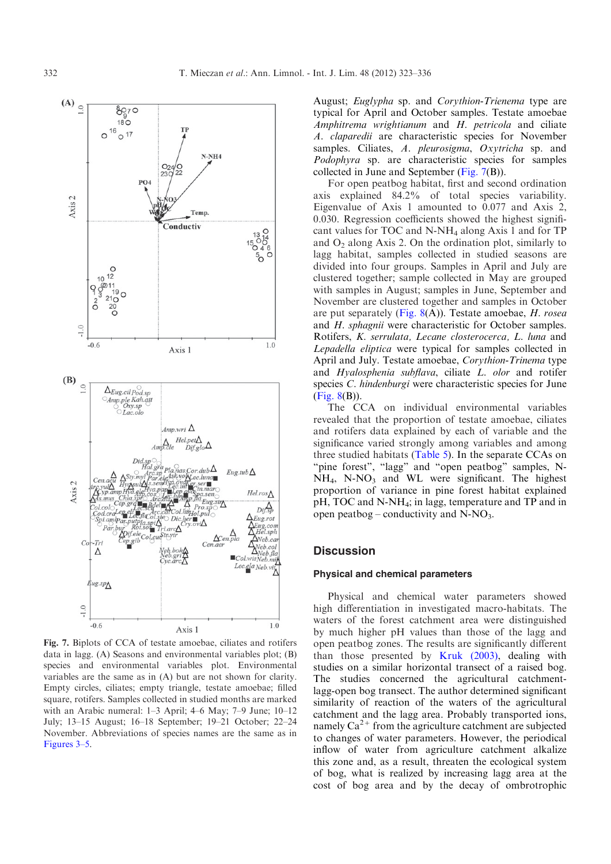<span id="page-9-0"></span>

Fig. 7. Biplots of CCA of testate amoebae, ciliates and rotifers data in lagg. (A) Seasons and environmental variables plot; (B) species and environmental variables plot. Environmental variables are the same as in (A) but are not shown for clarity. Empty circles, ciliates; empty triangle, testate amoebae; filled square, rotifers. Samples collected in studied months are marked with an Arabic numeral: 1–3 April; 4–6 May; 7–9 June; 10–12 July; 13–15 August; 16–18 September; 19–21 October; 22–24 November. Abbreviations of species names are the same as in Figures 3–5.

August; Euglypha sp. and Corythion-Trienema type are typical for April and October samples. Testate amoebae Amphitrema wrightianum and H. petricola and ciliate A. claparedii are characteristic species for November samples. Ciliates, A. pleurosigma, Oxytricha sp. and Podophyra sp. are characteristic species for samples collected in June and September (Fig. 7(B)).

For open peatbog habitat, first and second ordination axis explained 84.2% of total species variability. Eigenvalue of Axis 1 amounted to 0.077 and Axis 2, 0.030. Regression coefficients showed the highest significant values for TOC and N-NH4 along Axis 1 and for TP and  $O_2$  along Axis 2. On the ordination plot, similarly to lagg habitat, samples collected in studied seasons are divided into four groups. Samples in April and July are clustered together; sample collected in May are grouped with samples in August; samples in June, September and November are clustered together and samples in October are put separately (Fig.  $8(A)$ ). Testate amoebae, *H. rosea* and *H. sphagnii* were characteristic for October samples. Rotifers, K. serrulata, Lecane closterocerca, L. luna and Lepadella eliptica were typical for samples collected in April and July. Testate amoebae, Corythion-Trinema type and Hyalosphenia subflava, ciliate L. olor and rotifer species *C. hindenburgi* were characteristic species for June ([Fig. 8](#page-10-0)(B)).

The CCA on individual environmental variables revealed that the proportion of testate amoebae, ciliates and rotifers data explained by each of variable and the significance varied strongly among variables and among three studied habitats ([Table 5](#page-11-0)). In the separate CCAs on "pine forest", "lagg" and "open peatbog" samples, N- $NH<sub>4</sub>$ , N-NO<sub>3</sub> and WL were significant. The highest proportion of variance in pine forest habitat explained pH, TOC and N-NH<sub>4</sub>; in lagg, temperature and TP and in open peatbog – conductivity and  $N-NO_3$ .

# **Discussion**

## Physical and chemical parameters

Physical and chemical water parameters showed high differentiation in investigated macro-habitats. The waters of the forest catchment area were distinguished by much higher pH values than those of the lagg and open peatbog zones. The results are significantly different than those presented by [Kruk \(2003\),](#page-13-0) dealing with studies on a similar horizontal transect of a raised bog. The studies concerned the agricultural catchmentlagg-open bog transect. The author determined significant similarity of reaction of the waters of the agricultural catchment and the lagg area. Probably transported ions, namely  $Ca^{2+}$  from the agriculture catchment are subjected to changes of water parameters. However, the periodical inflow of water from agriculture catchment alkalize this zone and, as a result, threaten the ecological system of bog, what is realized by increasing lagg area at the cost of bog area and by the decay of ombrotrophic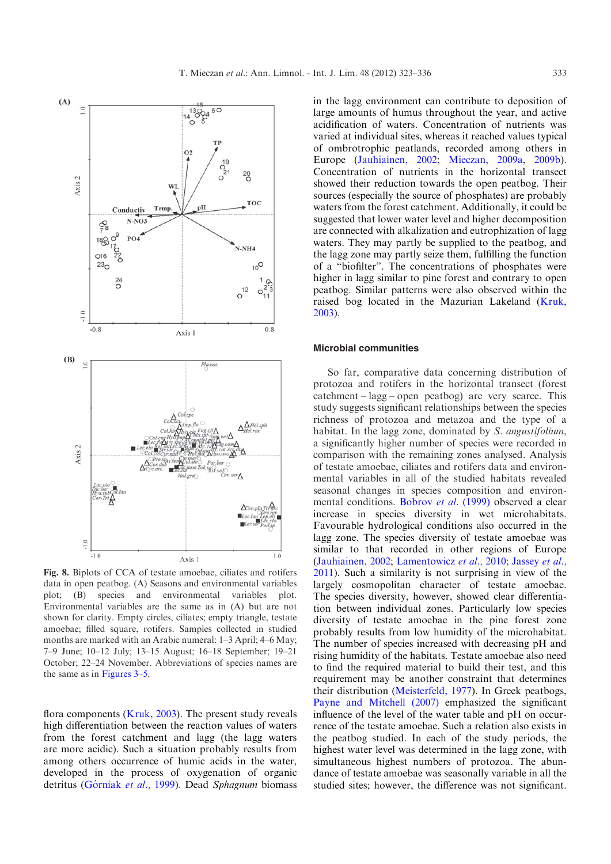<span id="page-10-0"></span>

Fig. 8. Biplots of CCA of testate amoebae, ciliates and rotifers data in open peatbog. (A) Seasons and environmental variables plot; (B) species and environmental variables plot. Environmental variables are the same as in (A) but are not shown for clarity. Empty circles, ciliates; empty triangle, testate amoebae; filled square, rotifers. Samples collected in studied months are marked with an Arabic numeral: 1–3 April; 4–6 May; 7–9 June; 10–12 July; 13–15 August; 16–18 September; 19–21 October; 22–24 November. Abbreviations of species names are the same as in Figures 3–5.

flora components ( $Kruk$ , 2003). The present study reveals high differentiation between the reaction values of waters from the forest catchment and lagg (the lagg waters are more acidic). Such a situation probably results from among others occurrence of humic acids in the water, developed in the process of oxygenation of organic detritus (Górniak et al., 1999). Dead Sphagnum biomass

in the lagg environment can contribute to deposition of large amounts of humus throughout the year, and active acidification of waters. Concentration of nutrients was varied at individual sites, whereas it reached values typical of ombrotrophic peatlands, recorded among others in Europe [\(Jauhiainen, 2002;](#page-13-0) [Mieczan, 2009a,](#page-13-0) [2009b](#page-13-0)). Concentration of nutrients in the horizontal transect showed their reduction towards the open peatbog. Their sources (especially the source of phosphates) are probably waters from the forest catchment. Additionally, it could be suggested that lower water level and higher decomposition are connected with alkalization and eutrophization of lagg waters. They may partly be supplied to the peatbog, and the lagg zone may partly seize them, fulfilling the function of a "biofilter". The concentrations of phosphates were higher in lagg similar to pine forest and contrary to open peatbog. Similar patterns were also observed within the raised bog located in the Mazurian Lakeland ([Kruk,](#page-13-0) [2003](#page-13-0)).

# Microbial communities

So far, comparative data concerning distribution of protozoa and rotifers in the horizontal transect (forest catchment – lagg – open peatbog) are very scarce. This study suggests significant relationships between the species richness of protozoa and metazoa and the type of a habitat. In the lagg zone, dominated by S. angustifolium, a significantly higher number of species were recorded in comparison with the remaining zones analysed. Analysis of testate amoebae, ciliates and rotifers data and environmental variables in all of the studied habitats revealed seasonal changes in species composition and environ-mental conditions. [Bobrov](#page-12-0) et al. (1999) observed a clear increase in species diversity in wet microhabitats. Favourable hydrological conditions also occurred in the lagg zone. The species diversity of testate amoebae was similar to that recorded in other regions of Europe ([Jauhiainen, 2002](#page-13-0); [Lamentowicz](#page-13-0) et al., 2010; [Jassey](#page-13-0) et al., [2011](#page-13-0)). Such a similarity is not surprising in view of the largely cosmopolitan character of testate amoebae. The species diversity, however, showed clear differentiation between individual zones. Particularly low species diversity of testate amoebae in the pine forest zone probably results from low humidity of the microhabitat. The number of species increased with decreasing pH and rising humidity of the habitats. Testate amoebae also need to find the required material to build their test, and this requirement may be another constraint that determines their distribution [\(Meisterfeld, 1977](#page-13-0)). In Greek peatbogs, [Payne and Mitchell \(2007\)](#page-13-0) emphasized the significant influence of the level of the water table and pH on occurrence of the testate amoebae. Such a relation also exists in the peatbog studied. In each of the study periods, the highest water level was determined in the lagg zone, with simultaneous highest numbers of protozoa. The abundance of testate amoebae was seasonally variable in all the studied sites; however, the difference was not significant.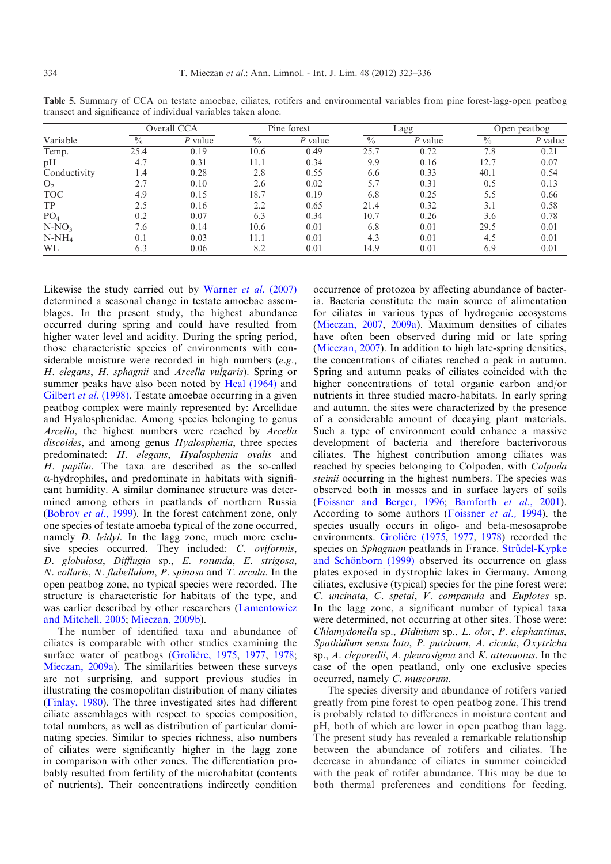|                 | Overall CCA   |           |               | Pine forest |             | Lagg      | Open peatbog             |         |
|-----------------|---------------|-----------|---------------|-------------|-------------|-----------|--------------------------|---------|
| Variable        | $\frac{0}{0}$ | $P$ value | $\frac{0}{0}$ | $P$ value   | $^{0}/_{0}$ | $P$ value | $\overline{\frac{0}{0}}$ | P value |
| Temp.           | 25.4          | 0.19      | 10.6          | 0.49        | 25.7        | 0.72      | 7.8                      | 0.21    |
| pH              | 4.7           | 0.31      | 11.1          | 0.34        | 9.9         | 0.16      | 12.7                     | 0.07    |
| Conductivity    | 1.4           | 0.28      | 2.8           | 0.55        | 6.6         | 0.33      | 40.1                     | 0.54    |
| O <sub>2</sub>  | 2.7           | 0.10      | 2.6           | 0.02        | 5.7         | 0.31      | 0.5                      | 0.13    |
| <b>TOC</b>      | 4.9           | 0.15      | 18.7          | 0.19        | 6.8         | 0.25      | 5.5                      | 0.66    |
| TP              | 2.5           | 0.16      | 2.2           | 0.65        | 21.4        | 0.32      | 3.1                      | 0.58    |
| PO <sub>4</sub> | 0.2           | 0.07      | 6.3           | 0.34        | 10.7        | 0.26      | 3.6                      | 0.78    |
| $N-NO3$         | 7.6           | 0.14      | 10.6          | 0.01        | 6.8         | 0.01      | 29.5                     | 0.01    |
| $N-NH_4$        | 0.1           | 0.03      | 11.1          | 0.01        | 4.3         | 0.01      | 4.5                      | 0.01    |
| WL              | 6.3           | 0.06      | 8.2           | 0.01        | 14.9        | 0.01      | 6.9                      | 0.01    |

<span id="page-11-0"></span>Table 5. Summary of CCA on testate amoebae, ciliates, rotifers and environmental variables from pine forest-lagg-open peatbog transect and significance of individual variables taken alone.

Likewise the study carried out by [Warner](#page-13-0) et al. (2007) determined a seasonal change in testate amoebae assemblages. In the present study, the highest abundance occurred during spring and could have resulted from higher water level and acidity. During the spring period, those characteristic species of environments with considerable moisture were recorded in high numbers (e.g., H. elegans, H. sphagnii and Arcella vulgaris). Spring or summer peaks have also been noted by [Heal \(1964\)](#page-13-0) and [Gilbert](#page-12-0) et al. (1998). Testate amoebae occurring in a given peatbog complex were mainly represented by: Arcellidae and Hyalosphenidae. Among species belonging to genus Arcella, the highest numbers were reached by Arcella discoides, and among genus Hyalosphenia, three species predominated: H. elegans, Hyalosphenia ovalis and H. papilio. The taxa are described as the so-called a-hydrophiles, and predominate in habitats with significant humidity. A similar dominance structure was determined among others in peatlands of northern Russia ([Bobrov](#page-12-0) et al., 1999). In the forest catchment zone, only one species of testate amoeba typical of the zone occurred, namely D. leidyi. In the lagg zone, much more exclusive species occurred. They included: C. oviformis, D. globulosa, Difflugia sp., E. rotunda, E. strigosa, N. collaris, N. flabellulum, P. spinosa and T. arcula. In the open peatbog zone, no typical species were recorded. The structure is characteristic for habitats of the type, and was earlier described by other researchers [\(Lamentowicz](#page-13-0) [and Mitchell, 2005](#page-13-0); [Mieczan, 2009b\)](#page-13-0).

The number of identified taxa and abundance of ciliates is comparable with other studies examining the surface water of peatbogs (Grolière, 1975, [1977,](#page-13-0) [1978;](#page-13-0) [Mieczan, 2009a](#page-13-0)). The similarities between these surveys are not surprising, and support previous studies in illustrating the cosmopolitan distribution of many ciliates ([Finlay, 1980\)](#page-12-0). The three investigated sites had different ciliate assemblages with respect to species composition, total numbers, as well as distribution of particular dominating species. Similar to species richness, also numbers of ciliates were significantly higher in the lagg zone in comparison with other zones. The differentiation probably resulted from fertility of the microhabitat (contents of nutrients). Their concentrations indirectly condition

occurrence of protozoa by affecting abundance of bacteria. Bacteria constitute the main source of alimentation for ciliates in various types of hydrogenic ecosystems ([Mieczan, 2007,](#page-13-0) [2009a\)](#page-13-0). Maximum densities of ciliates have often been observed during mid or late spring ([Mieczan, 2007\)](#page-13-0). In addition to high late-spring densities, the concentrations of ciliates reached a peak in autumn. Spring and autumn peaks of ciliates coincided with the higher concentrations of total organic carbon and/or nutrients in three studied macro-habitats. In early spring and autumn, the sites were characterized by the presence of a considerable amount of decaying plant materials. Such a type of environment could enhance a massive development of bacteria and therefore bacterivorous ciliates. The highest contribution among ciliates was reached by species belonging to Colpodea, with Colpoda steinii occurring in the highest numbers. The species was observed both in mosses and in surface layers of soils ([Foissner and Berger, 1996;](#page-12-0) [Bamforth](#page-12-0) et al., 2001). According to some authors ([Foissner](#page-12-0) et al., 1994), the species usually occurs in oligo- and beta-mesosaprobe environments. Grolière (1975, [1977](#page-13-0), [1978](#page-13-0)) recorded the species on Sphagnum peatlands in France. Strü[del-Kypke](#page-13-0) and Schönborn (1999) observed its occurrence on glass plates exposed in dystrophic lakes in Germany. Among ciliates, exclusive (typical) species for the pine forest were: C. uncinata, C. spetai, V. companula and Euplotes sp. In the lagg zone, a significant number of typical taxa were determined, not occurring at other sites. Those were: Chlamydonella sp., Didinium sp., L. olor, P. elephantinus, Spathidium sensu lato, P. putrinum, A. cicada, Oxytricha sp., A. cleparedii, A. pleurosigma and K. attenuotus. In the case of the open peatland, only one exclusive species occurred, namely C. muscorum.

The species diversity and abundance of rotifers varied greatly from pine forest to open peatbog zone. This trend is probably related to differences in moisture content and pH, both of which are lower in open peatbog than lagg. The present study has revealed a remarkable relationship between the abundance of rotifers and ciliates. The decrease in abundance of ciliates in summer coincided with the peak of rotifer abundance. This may be due to both thermal preferences and conditions for feeding.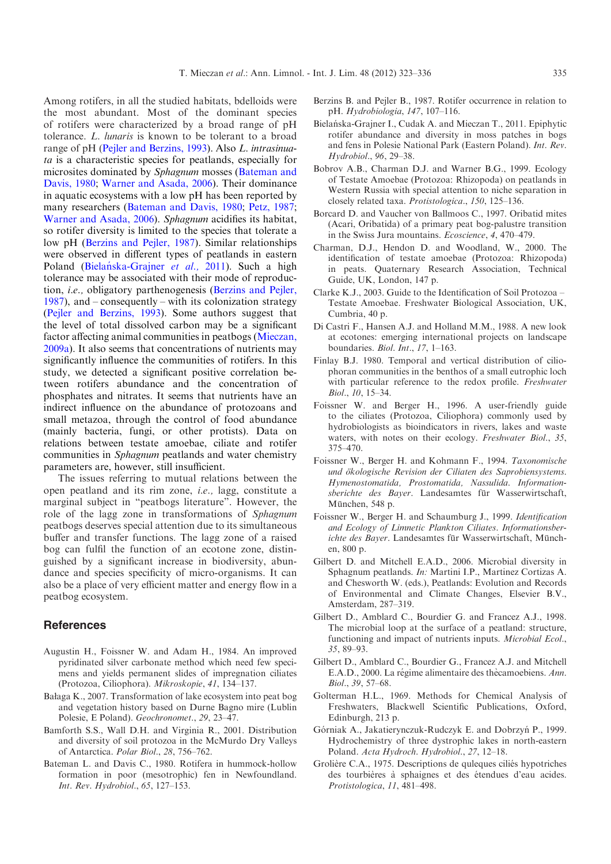<span id="page-12-0"></span>Among rotifers, in all the studied habitats, bdelloids were the most abundant. Most of the dominant species of rotifers were characterized by a broad range of pH tolerance. L. lunaris is known to be tolerant to a broad range of pH ([Pejler and Berzins, 1993](#page-13-0)). Also L. intrasinuata is a characteristic species for peatlands, especially for microsites dominated by Sphagnum mosses (Bateman and Davis, 1980; [Warner and Asada, 2006](#page-13-0)). Their dominance in aquatic ecosystems with a low pH has been reported by many researchers (Bateman and Davis, 1980; [Petz, 1987;](#page-13-0) [Warner and Asada, 2006\)](#page-13-0). Sphagnum acidifies its habitat, so rotifer diversity is limited to the species that tolerate a low pH (Berzins and Pejler, 1987). Similar relationships were observed in different types of peatlands in eastern Poland (Bielańska-Grajner et al., 2011). Such a high tolerance may be associated with their mode of reproduction, i.e., obligatory parthenogenesis (Berzins and Pejler, 1987), and – consequently – with its colonization strategy ([Pejler and Berzins, 1993](#page-13-0)). Some authors suggest that the level of total dissolved carbon may be a significant factor affecting animal communities in peatbogs ([Mieczan,](#page-13-0) [2009a](#page-13-0)). It also seems that concentrations of nutrients may significantly influence the communities of rotifers. In this study, we detected a significant positive correlation between rotifers abundance and the concentration of phosphates and nitrates. It seems that nutrients have an indirect influence on the abundance of protozoans and small metazoa, through the control of food abundance (mainly bacteria, fungi, or other protists). Data on relations between testate amoebae, ciliate and rotifer communities in Sphagnum peatlands and water chemistry parameters are, however, still insufficient.

The issues referring to mutual relations between the open peatland and its rim zone, i.e., lagg, constitute a marginal subject in "peatbogs literature". However, the role of the lagg zone in transformations of Sphagnum peatbogs deserves special attention due to its simultaneous buffer and transfer functions. The lagg zone of a raised bog can fulfil the function of an ecotone zone, distinguished by a significant increase in biodiversity, abundance and species specificity of micro-organisms. It can also be a place of very efficient matter and energy flow in a peatbog ecosystem.

## **References**

- Augustin H., Foissner W. and Adam H., 1984. An improved pyridinated silver carbonate method which need few specimens and yields permanent slides of impregnation ciliates (Protozoa, Ciliophora). Mikroskopie, 41, 134–137.
- Bałaga K., 2007. Transformation of lake ecosystem into peat bog and vegetation history based on Durne Bagno mire (Lublin Polesie, E Poland). Geochronomet., 29, 23–47.
- Bamforth S.S., Wall D.H. and Virginia R., 2001. Distribution and diversity of soil protozoa in the McMurdo Dry Valleys of Antarctica. Polar Biol., 28, 756–762.
- Bateman L. and Davis C., 1980. Rotifera in hummock-hollow formation in poor (mesotrophic) fen in Newfoundland. Int. Rev. Hydrobiol., 65, 127–153.
- Berzins B. and Pejler B., 1987. Rotifer occurrence in relation to pH. Hydrobiologia, 147, 107–116.
- Bielańska-Grajner I., Cudak A. and Mieczan T., 2011. Epiphytic rotifer abundance and diversity in moss patches in bogs and fens in Polesie National Park (Eastern Poland). Int. Rev. Hydrobiol., 96, 29–38.
- Bobrov A.B., Charman D.J. and Warner B.G., 1999. Ecology of Testate Amoebae (Protozoa: Rhizopoda) on peatlands in Western Russia with special attention to niche separation in closely related taxa. Protistologica., 150, 125–136.
- Borcard D. and Vaucher von Ballmoos C., 1997. Oribatid mites (Acari, Oribatida) of a primary peat bog-palustre transition in the Swiss Jura mountains. Ecoscience, 4, 470–479.
- Charman, D.J., Hendon D. and Woodland, W., 2000. The identification of testate amoebae (Protozoa: Rhizopoda) in peats. Quaternary Research Association, Technical Guide, UK, London, 147 p.
- Clarke K.J., 2003. Guide to the Identification of Soil Protozoa Testate Amoebae. Freshwater Biological Association, UK, Cumbria, 40 p.
- Di Castri F., Hansen A.J. and Holland M.M., 1988. A new look at ecotones: emerging international projects on landscape boundaries. Biol. Int., 17, 1–163.
- Finlay B.J. 1980. Temporal and vertical distribution of ciliophoran communities in the benthos of a small eutrophic loch with particular reference to the redox profile. Freshwater Biol., 10, 15–34.
- Foissner W. and Berger H., 1996. A user-friendly guide to the ciliates (Protozoa, Ciliophora) commonly used by hydrobiologists as bioindicators in rivers, lakes and waste waters, with notes on their ecology. Freshwater Biol., 35, 375–470.
- Foissner W., Berger H. and Kohmann F., 1994. Taxonomische und ökologische Revision der Ciliaten des Saprobiensystems. Hymenostomatida, Prostomatida, Nassulida. Informationsberichte des Bayer. Landesamtes für Wasserwirtschaft, München, 548 p.
- Foissner W., Berger H. and Schaumburg J., 1999. Identification and Ecology of Limnetic Plankton Ciliates. Informationsberichte des Bayer. Landesamtes für Wasserwirtschaft, München, 800 p.
- Gilbert D. and Mitchell E.A.D., 2006. Microbial diversity in Sphagnum peatlands. In: Martini I.P., Martinez Cortizas A. and Chesworth W. (eds.), Peatlands: Evolution and Records of Environmental and Climate Changes, Elsevier B.V., Amsterdam, 287–319.
- Gilbert D., Amblard C., Bourdier G. and Francez A.J., 1998. The microbial loop at the surface of a peatland: structure, functioning and impact of nutrients inputs. Microbial Ecol., 35, 89–93.
- Gilbert D., Amblard C., Bourdier G., Francez A.J. and Mitchell E.A.D., 2000. La régime alimentaire des thècamoebiens. Ann. Biol., 39, 57–68.
- Golterman H.L., 1969. Methods for Chemical Analysis of Freshwaters, Blackwell Scientific Publications, Oxford, Edinburgh, 213 p.
- Górniak A., Jakatierynczuk-Rudczyk E. and Dobrzyń P., 1999. Hydrochemistry of three dystrophic lakes in north-eastern Poland. Acta Hydroch. Hydrobiol., 27, 12–18.
- Grolière C.A., 1975. Descriptions de quleques ciliés hypotriches des tourbières à sphaignes et des étendues d'eau acides. Protistologica, 11, 481–498.